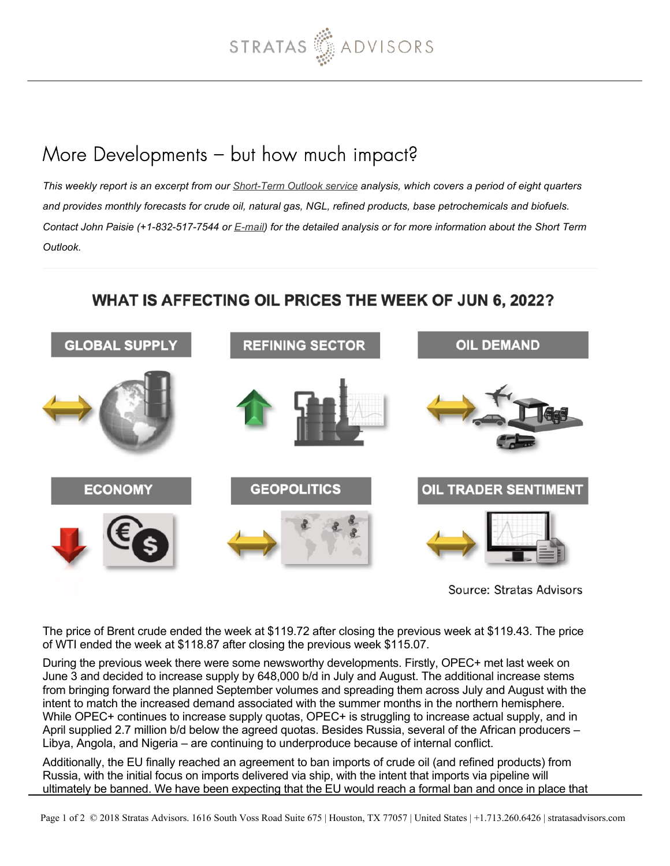

## More Developments – but how much impact?

*This weekly report is an excerpt from our [Short-Term Outlook service](https://stratasadvisors.com/Services/Short-Term-Price-Outlook) analysis, which covers a period of eight quarters and provides monthly forecasts for crude oil, natural gas, NGL, refined products, base petrochemicals and biofuels. Contact John Paisie (+1-832-517-7544 or [E-mail](mailto:jpaisie@stratasadvisors.com?subject=WAOP)) for the detailed analysis or for more information about the Short Term Outlook.*

## WHAT IS AFFECTING OIL PRICES THE WEEK OF JUN 6, 2022?



Source: Stratas Advisors

The price of Brent crude ended the week at \$119.72 after closing the previous week at \$119.43. The price of WTI ended the week at \$118.87 after closing the previous week \$115.07.

During the previous week there were some newsworthy developments. Firstly, OPEC+ met last week on June 3 and decided to increase supply by 648,000 b/d in July and August. The additional increase stems from bringing forward the planned September volumes and spreading them across July and August with the intent to match the increased demand associated with the summer months in the northern hemisphere. While OPEC+ continues to increase supply quotas, OPEC+ is struggling to increase actual supply, and in April supplied 2.7 million b/d below the agreed quotas. Besides Russia, several of the African producers – Libya, Angola, and Nigeria – are continuing to underproduce because of internal conflict.

Additionally, the EU finally reached an agreement to ban imports of crude oil (and refined products) from Russia, with the initial focus on imports delivered via ship, with the intent that imports via pipeline will ultimately be banned. We have been expecting that the EU would reach a formal ban and once in place that